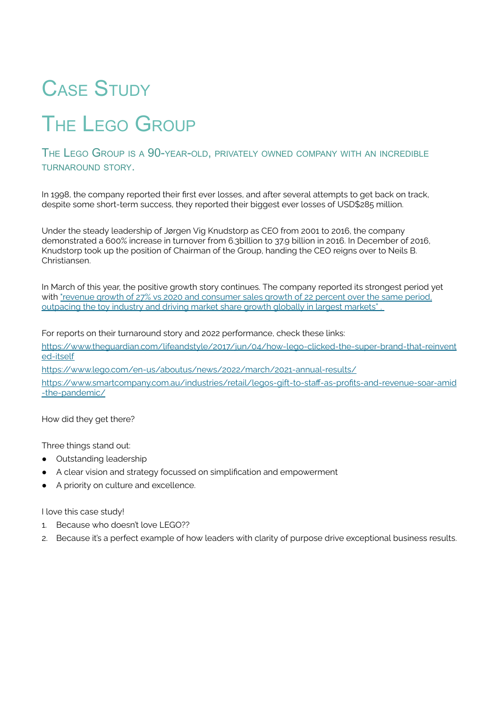# CASE STUDY

# THE LEGO GROUP

THE LEGO GROUP IS <sup>A</sup> 90-YEAR-OLD, PRIVATELY OWNED COMPANY WITH AN INCREDIBLE TURNAROUND STORY.

In 1998, the company reported their first ever losses, and after several attempts to get back on track, despite some short-term success, they reported their biggest ever losses of USD\$285 million.

Under the steady leadership of Jørgen Vig Knudstorp as CEO from 2001 to 2016, the company demonstrated a 600% increase in turnover from 6.3billion to 37.9 billion in 2016. In December of 2016, Knudstorp took up the position of Chairman of the Group, handing the CEO reigns over to Neils B. Christiansen.

In March of this year, the positive growth story continues. The company reported its strongest period yet with "revenue growth of 27% vs 2020 [and consumer](https://www.lego.com/en-us/aboutus/news/2022/march/2021-annual-results/) sales growth of 22 percent over the same period, outpacing the toy industry [and driving](https://www.lego.com/en-us/aboutus/news/2022/march/2021-annual-results/) market share growth globally in largest markets" .

For reports on their turnaround story and 2022 performance, check these links:

[https://www.theguardian.com/lifeandstyle/2017/jun/04/how-lego-clicked-the-super-brand-that-reinvent](https://www.theguardian.com/lifeandstyle/2017/jun/04/how-lego-clicked-the-super-brand-that-reinvented-itself) [ed-itself](https://www.theguardian.com/lifeandstyle/2017/jun/04/how-lego-clicked-the-super-brand-that-reinvented-itself)

<https://www.lego.com/en-us/aboutus/news/2022/march/2021-annual-results/>

[https://www.smartcompany.com.au/industries/retail/legos-gift-to-staff-as-profits-and-revenue-soar-amid](https://www.smartcompany.com.au/industries/retail/legos-gift-to-staff-as-profits-and-revenue-soar-amid-the-pandemic/) [-the-pandemic/](https://www.smartcompany.com.au/industries/retail/legos-gift-to-staff-as-profits-and-revenue-soar-amid-the-pandemic/)

How did they get there?

Three things stand out:

- Outstanding leadership
- A clear vision and strategy focussed on simplification and empowerment
- A priority on culture and excellence.

I love this case study!

- 1. Because who doesn't love LEGO??
- 2. Because it's a perfect example of how leaders with clarity of purpose drive exceptional business results.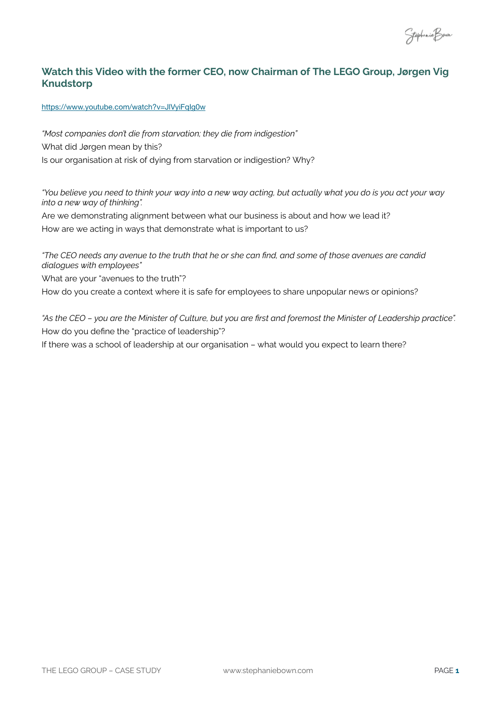StephenieBown

# **Watch this Video with the former CEO, now Chairman of The LEGO Group, Jørgen Vig Knudstorp**

#### <https://www.youtube.com/watch?v=JlVyiFqIg0w>

*"Most companies don't die from starvation; they die from indigestion"* What did Jørgen mean by this? Is our organisation at risk of dying from starvation or indigestion? Why?

"You believe you need to think your way into a new way acting, but actually what you do is you act your way *into a new way of thinking".*

Are we demonstrating alignment between what our business is about and how we lead it? How are we acting in ways that demonstrate what is important to us?

"The CEO needs any avenue to the truth that he or she can find, and some of those avenues are candid *dialogues with employees"*

What are your "avenues to the truth"?

How do you create a context where it is safe for employees to share unpopular news or opinions?

"As the CEO - you are the Minister of Culture, but you are first and foremost the Minister of Leadership practice". How do you define the "practice of leadership"? If there was a school of leadership at our organisation – what would you expect to learn there?